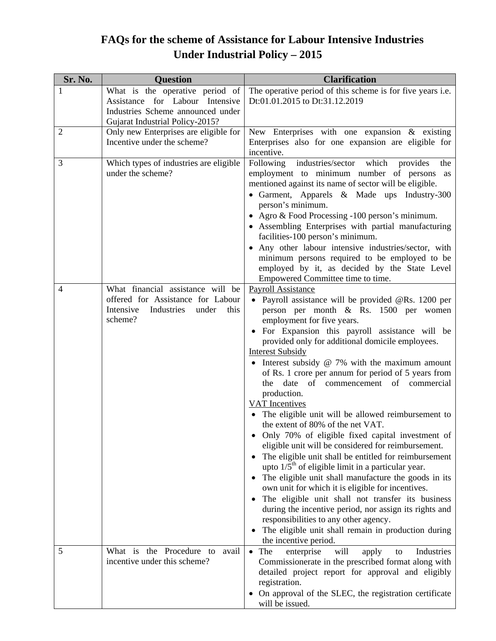## **FAQs for the scheme of Assistance for Labour Intensive Industries Under Industrial Policy – 2015**

| Sr. No.        | <b>Question</b>                                                                                                                            | <b>Clarification</b>                                                                                                                                                                                                                                                                                                                                                                                                                                                                                                                                                                                                                                                                                                                                                                                                                                                                                                                                                                                                                                                                                                                                                 |
|----------------|--------------------------------------------------------------------------------------------------------------------------------------------|----------------------------------------------------------------------------------------------------------------------------------------------------------------------------------------------------------------------------------------------------------------------------------------------------------------------------------------------------------------------------------------------------------------------------------------------------------------------------------------------------------------------------------------------------------------------------------------------------------------------------------------------------------------------------------------------------------------------------------------------------------------------------------------------------------------------------------------------------------------------------------------------------------------------------------------------------------------------------------------------------------------------------------------------------------------------------------------------------------------------------------------------------------------------|
| 1              | What is the operative period of<br>Assistance for Labour Intensive<br>Industries Scheme announced under<br>Gujarat Industrial Policy-2015? | The operative period of this scheme is for five years i.e.<br>Dt:01.01.2015 to Dt:31.12.2019                                                                                                                                                                                                                                                                                                                                                                                                                                                                                                                                                                                                                                                                                                                                                                                                                                                                                                                                                                                                                                                                         |
| $\overline{2}$ | Only new Enterprises are eligible for<br>Incentive under the scheme?                                                                       | New Enterprises with one expansion $\&$ existing<br>Enterprises also for one expansion are eligible for<br>incentive.                                                                                                                                                                                                                                                                                                                                                                                                                                                                                                                                                                                                                                                                                                                                                                                                                                                                                                                                                                                                                                                |
| 3              | Which types of industries are eligible<br>under the scheme?                                                                                | industries/sector which<br>Following<br>provides<br>the<br>employment to minimum number of persons as<br>mentioned against its name of sector will be eligible.<br>• Garment, Apparels & Made ups Industry-300<br>person's minimum.<br>• Agro & Food Processing -100 person's minimum.<br>• Assembling Enterprises with partial manufacturing<br>facilities-100 person's minimum.<br>Any other labour intensive industries/sector, with<br>minimum persons required to be employed to be<br>employed by it, as decided by the State Level<br>Empowered Committee time to time.                                                                                                                                                                                                                                                                                                                                                                                                                                                                                                                                                                                       |
| 4              | What financial assistance will be<br>offered for Assistance for Labour<br>Intensive<br>this<br>Industries<br>under<br>scheme?              | Payroll Assistance<br>· Payroll assistance will be provided @Rs. 1200 per<br>person per month & Rs. 1500 per women<br>employment for five years.<br>For Expansion this payroll assistance will be<br>provided only for additional domicile employees.<br><b>Interest Subsidy</b><br>• Interest subsidy $@ 7\%$ with the maximum amount<br>of Rs. 1 crore per annum for period of 5 years from<br>date<br>of<br>commencement of commercial<br>the<br>production.<br><b>VAT</b> Incentives<br>The eligible unit will be allowed reimbursement to<br>the extent of 80% of the net VAT.<br>Only 70% of eligible fixed capital investment of<br>eligible unit will be considered for reimbursement.<br>The eligible unit shall be entitled for reimbursement<br>upto $1/5th$ of eligible limit in a particular year.<br>The eligible unit shall manufacture the goods in its<br>own unit for which it is eligible for incentives.<br>The eligible unit shall not transfer its business<br>during the incentive period, nor assign its rights and<br>responsibilities to any other agency.<br>The eligible unit shall remain in production during<br>the incentive period. |
| 5              | What is the Procedure to avail<br>incentive under this scheme?                                                                             | The<br>will<br>enterprise<br>Industries<br>$\bullet$<br>apply<br>to<br>Commissionerate in the prescribed format along with<br>detailed project report for approval and eligibly<br>registration.<br>On approval of the SLEC, the registration certificate<br>will be issued.                                                                                                                                                                                                                                                                                                                                                                                                                                                                                                                                                                                                                                                                                                                                                                                                                                                                                         |